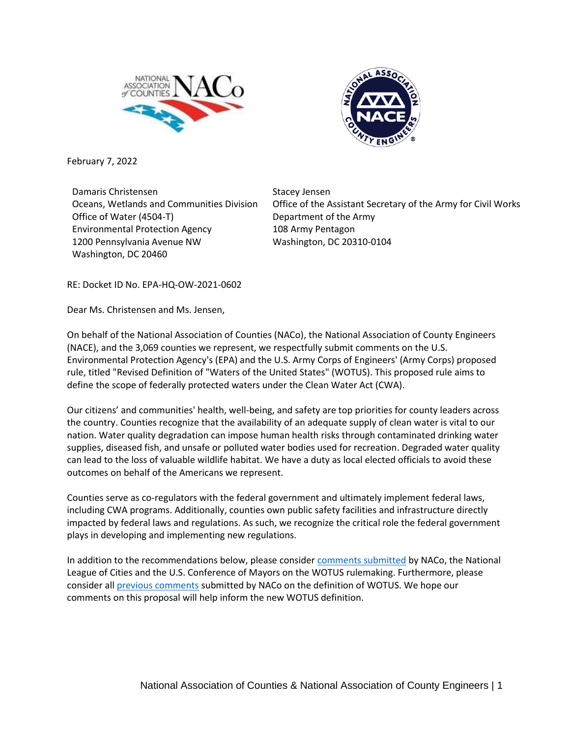



February 7, 2022

Damaris Christensen Oceans, Wetlands and Communities Division Office of Water (4504-T) Environmental Protection Agency 1200 Pennsylvania Avenue NW Washington, DC 20460

Stacey Jensen Office of the Assistant Secretary of the Army for Civil Works Department of the Army 108 Army Pentagon Washington, DC 20310-0104

RE: Docket ID No. EPA-HQ-OW-2021-0602

Dear Ms. Christensen and Ms. Jensen,

On behalf of the National Association of Counties (NACo), the National Association of County Engineers (NACE), and the 3,069 counties we represent, we respectfully submit comments on the U.S. Environmental Protection Agency's (EPA) and the U.S. Army Corps of Engineers' (Army Corps) proposed rule, titled "Revised Definition of "Waters of the United States" (WOTUS). This proposed rule aims to define the scope of federally protected waters under the Clean Water Act (CWA).

Our citizens' and communities' health, well-being, and safety are top priorities for county leaders across the country. Counties recognize that the availability of an adequate supply of clean water is vital to our nation. Water quality degradation can impose human health risks through contaminated drinking water supplies, diseased fish, and unsafe or polluted water bodies used for recreation. Degraded water quality can lead to the loss of valuable wildlife habitat. We have a duty as local elected officials to avoid these outcomes on behalf of the Americans we represent.

Counties serve as co-regulators with the federal government and ultimately implement federal laws, including CWA programs. Additionally, counties own public safety facilities and infrastructure directly impacted by federal laws and regulations. As such, we recognize the critical role the federal government plays in developing and implementing new regulations.

In addition to the recommendations below, please consider [comments submitted](https://naco.sharefile.com/d-s68fd93e1019e4c7d8bc9684065e8ec8a) by NACo, the National League of Cities and the U.S. Conference of Mayors on the WOTUS rulemaking. Furthermore, please consider al[l previous comments](https://naco.sharefile.com/share/view/s55aeaf70d0794fc88eb8cf2ec89d1eb4) submitted by NACo on the definition of WOTUS. We hope our comments on this proposal will help inform the new WOTUS definition.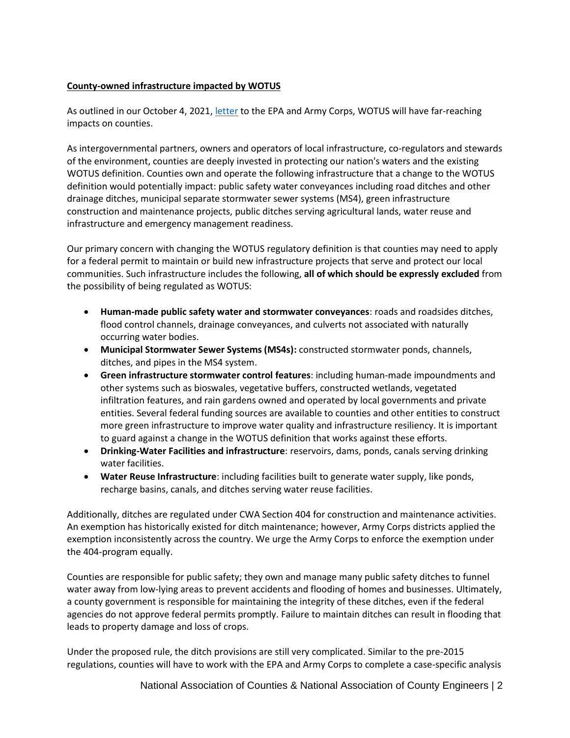## **County-owned infrastructure impacted by WOTUS**

As outlined in our October 4, 2021, [letter](https://naco.sharefile.com/share/view/s55aeaf70d0794fc88eb8cf2ec89d1eb4) to the EPA and Army Corps, WOTUS will have far-reaching impacts on counties.

As intergovernmental partners, owners and operators of local infrastructure, co-regulators and stewards of the environment, counties are deeply invested in protecting our nation's waters and the existing WOTUS definition. Counties own and operate the following infrastructure that a change to the WOTUS definition would potentially impact: public safety water conveyances including road ditches and other drainage ditches, municipal separate stormwater sewer systems (MS4), green infrastructure construction and maintenance projects, public ditches serving agricultural lands, water reuse and infrastructure and emergency management readiness.

Our primary concern with changing the WOTUS regulatory definition is that counties may need to apply for a federal permit to maintain or build new infrastructure projects that serve and protect our local communities. Such infrastructure includes the following, **all of which should be expressly excluded** from the possibility of being regulated as WOTUS:

- **Human-made public safety water and stormwater conveyances**: roads and roadsides ditches, flood control channels, drainage conveyances, and culverts not associated with naturally occurring water bodies.
- **Municipal Stormwater Sewer Systems (MS4s):** constructed stormwater ponds, channels, ditches, and pipes in the MS4 system.
- **Green infrastructure stormwater control features**: including human-made impoundments and other systems such as bioswales, vegetative buffers, constructed wetlands, vegetated infiltration features, and rain gardens owned and operated by local governments and private entities. Several federal funding sources are available to counties and other entities to construct more green infrastructure to improve water quality and infrastructure resiliency. It is important to guard against a change in the WOTUS definition that works against these efforts.
- **Drinking-Water Facilities and infrastructure**: reservoirs, dams, ponds, canals serving drinking water facilities.
- **Water Reuse Infrastructure**: including facilities built to generate water supply, like ponds, recharge basins, canals, and ditches serving water reuse facilities.

Additionally, ditches are regulated under CWA Section 404 for construction and maintenance activities. An exemption has historically existed for ditch maintenance; however, Army Corps districts applied the exemption inconsistently across the country. We urge the Army Corps to enforce the exemption under the 404-program equally.

Counties are responsible for public safety; they own and manage many public safety ditches to funnel water away from low-lying areas to prevent accidents and flooding of homes and businesses. Ultimately, a county government is responsible for maintaining the integrity of these ditches, even if the federal agencies do not approve federal permits promptly. Failure to maintain ditches can result in flooding that leads to property damage and loss of crops.

Under the proposed rule, the ditch provisions are still very complicated. Similar to the pre-2015 regulations, counties will have to work with the EPA and Army Corps to complete a case-specific analysis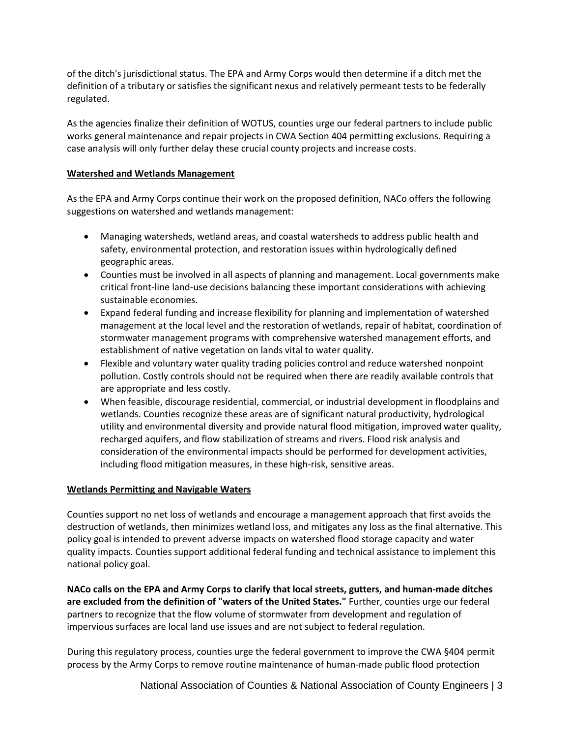of the ditch's jurisdictional status. The EPA and Army Corps would then determine if a ditch met the definition of a tributary or satisfies the significant nexus and relatively permeant tests to be federally regulated.

As the agencies finalize their definition of WOTUS, counties urge our federal partners to include public works general maintenance and repair projects in CWA Section 404 permitting exclusions. Requiring a case analysis will only further delay these crucial county projects and increase costs.

## **Watershed and Wetlands Management**

As the EPA and Army Corps continue their work on the proposed definition, NACo offers the following suggestions on watershed and wetlands management:

- Managing watersheds, wetland areas, and coastal watersheds to address public health and safety, environmental protection, and restoration issues within hydrologically defined geographic areas.
- Counties must be involved in all aspects of planning and management. Local governments make critical front-line land-use decisions balancing these important considerations with achieving sustainable economies.
- Expand federal funding and increase flexibility for planning and implementation of watershed management at the local level and the restoration of wetlands, repair of habitat, coordination of stormwater management programs with comprehensive watershed management efforts, and establishment of native vegetation on lands vital to water quality.
- Flexible and voluntary water quality trading policies control and reduce watershed nonpoint pollution. Costly controls should not be required when there are readily available controls that are appropriate and less costly.
- When feasible, discourage residential, commercial, or industrial development in floodplains and wetlands. Counties recognize these areas are of significant natural productivity, hydrological utility and environmental diversity and provide natural flood mitigation, improved water quality, recharged aquifers, and flow stabilization of streams and rivers. Flood risk analysis and consideration of the environmental impacts should be performed for development activities, including flood mitigation measures, in these high-risk, sensitive areas.

# **Wetlands Permitting and Navigable Waters**

Counties support no net loss of wetlands and encourage a management approach that first avoids the destruction of wetlands, then minimizes wetland loss, and mitigates any loss as the final alternative. This policy goal is intended to prevent adverse impacts on watershed flood storage capacity and water quality impacts. Counties support additional federal funding and technical assistance to implement this national policy goal.

**NACo calls on the EPA and Army Corps to clarify that local streets, gutters, and human-made ditches are excluded from the definition of "waters of the United States."** Further, counties urge our federal partners to recognize that the flow volume of stormwater from development and regulation of impervious surfaces are local land use issues and are not subject to federal regulation.

During this regulatory process, counties urge the federal government to improve the CWA §404 permit process by the Army Corps to remove routine maintenance of human-made public flood protection

National Association of Counties & National Association of County Engineers | 3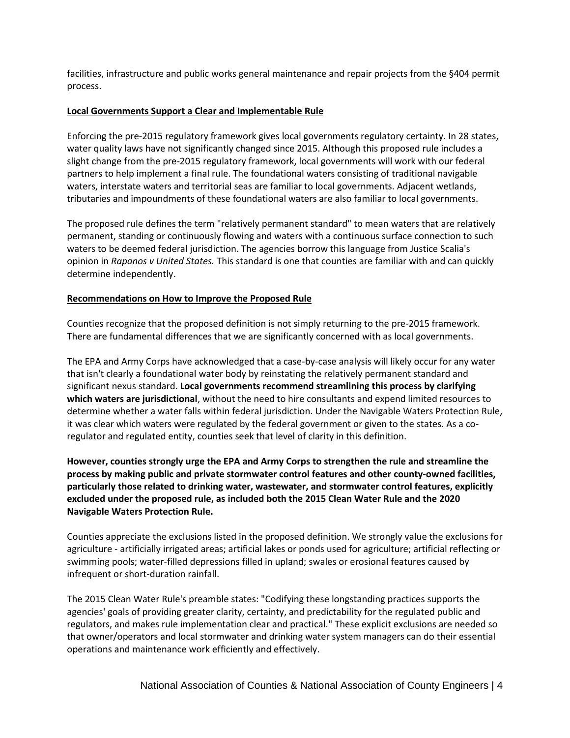facilities, infrastructure and public works general maintenance and repair projects from the §404 permit process.

#### **Local Governments Support a Clear and Implementable Rule**

Enforcing the pre-2015 regulatory framework gives local governments regulatory certainty. In 28 states, water quality laws have not significantly changed since 2015. Although this proposed rule includes a slight change from the pre-2015 regulatory framework, local governments will work with our federal partners to help implement a final rule. The foundational waters consisting of traditional navigable waters, interstate waters and territorial seas are familiar to local governments. Adjacent wetlands, tributaries and impoundments of these foundational waters are also familiar to local governments.

The proposed rule defines the term "relatively permanent standard" to mean waters that are relatively permanent, standing or continuously flowing and waters with a continuous surface connection to such waters to be deemed federal jurisdiction. The agencies borrow this language from Justice Scalia's opinion in *Rapanos v United States.* This standard is one that counties are familiar with and can quickly determine independently.

#### **Recommendations on How to Improve the Proposed Rule**

Counties recognize that the proposed definition is not simply returning to the pre-2015 framework. There are fundamental differences that we are significantly concerned with as local governments.

The EPA and Army Corps have acknowledged that a case-by-case analysis will likely occur for any water that isn't clearly a foundational water body by reinstating the relatively permanent standard and significant nexus standard. **Local governments recommend streamlining this process by clarifying which waters are jurisdictional**, without the need to hire consultants and expend limited resources to determine whether a water falls within federal jurisdiction. Under the Navigable Waters Protection Rule, it was clear which waters were regulated by the federal government or given to the states. As a coregulator and regulated entity, counties seek that level of clarity in this definition.

**However, counties strongly urge the EPA and Army Corps to strengthen the rule and streamline the process by making public and private stormwater control features and other county-owned facilities, particularly those related to drinking water, wastewater, and stormwater control features, explicitly excluded under the proposed rule, as included both the 2015 Clean Water Rule and the 2020 Navigable Waters Protection Rule.**

Counties appreciate the exclusions listed in the proposed definition. We strongly value the exclusions for agriculture - artificially irrigated areas; artificial lakes or ponds used for agriculture; artificial reflecting or swimming pools; water-filled depressions filled in upland; swales or erosional features caused by infrequent or short-duration rainfall.

The 2015 Clean Water Rule's preamble states: "Codifying these longstanding practices supports the agencies' goals of providing greater clarity, certainty, and predictability for the regulated public and regulators, and makes rule implementation clear and practical." These explicit exclusions are needed so that owner/operators and local stormwater and drinking water system managers can do their essential operations and maintenance work efficiently and effectively.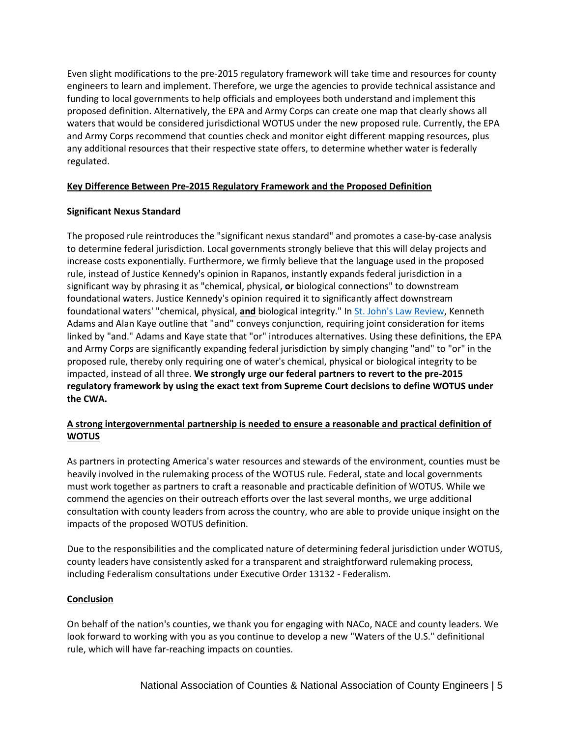Even slight modifications to the pre-2015 regulatory framework will take time and resources for county engineers to learn and implement. Therefore, we urge the agencies to provide technical assistance and funding to local governments to help officials and employees both understand and implement this proposed definition. Alternatively, the EPA and Army Corps can create one map that clearly shows all waters that would be considered jurisdictional WOTUS under the new proposed rule. Currently, the EPA and Army Corps recommend that counties check and monitor eight different mapping resources, plus any additional resources that their respective state offers, to determine whether water is federally regulated.

## **Key Difference Between Pre-2015 Regulatory Framework and the Proposed Definition**

## **Significant Nexus Standard**

The proposed rule reintroduces the "significant nexus standard" and promotes a case-by-case analysis to determine federal jurisdiction. Local governments strongly believe that this will delay projects and increase costs exponentially. Furthermore, we firmly believe that the language used in the proposed rule, instead of Justice Kennedy's opinion in Rapanos, instantly expands federal jurisdiction in a significant way by phrasing it as "chemical, physical, **or** biological connections" to downstream foundational waters. Justice Kennedy's opinion required it to significantly affect downstream foundational waters' "chemical, physical, **and** biological integrity." I[n St. John's Law Review,](https://scholarship.law.stjohns.edu/cgi/viewcontent.cgi?article=1215&context=lawreview) Kenneth Adams and Alan Kaye outline that "and" conveys conjunction, requiring joint consideration for items linked by "and." Adams and Kaye state that "or" introduces alternatives. Using these definitions, the EPA and Army Corps are significantly expanding federal jurisdiction by simply changing "and" to "or" in the proposed rule, thereby only requiring one of water's chemical, physical or biological integrity to be impacted, instead of all three. **We strongly urge our federal partners to revert to the pre-2015 regulatory framework by using the exact text from Supreme Court decisions to define WOTUS under the CWA.**

# **A strong intergovernmental partnership is needed to ensure a reasonable and practical definition of WOTUS**

As partners in protecting America's water resources and stewards of the environment, counties must be heavily involved in the rulemaking process of the WOTUS rule. Federal, state and local governments must work together as partners to craft a reasonable and practicable definition of WOTUS. While we commend the agencies on their outreach efforts over the last several months, we urge additional consultation with county leaders from across the country, who are able to provide unique insight on the impacts of the proposed WOTUS definition.

Due to the responsibilities and the complicated nature of determining federal jurisdiction under WOTUS, county leaders have consistently asked for a transparent and straightforward rulemaking process, including Federalism consultations under Executive Order 13132 - Federalism.

# **Conclusion**

On behalf of the nation's counties, we thank you for engaging with NACo, NACE and county leaders. We look forward to working with you as you continue to develop a new "Waters of the U.S." definitional rule, which will have far-reaching impacts on counties.